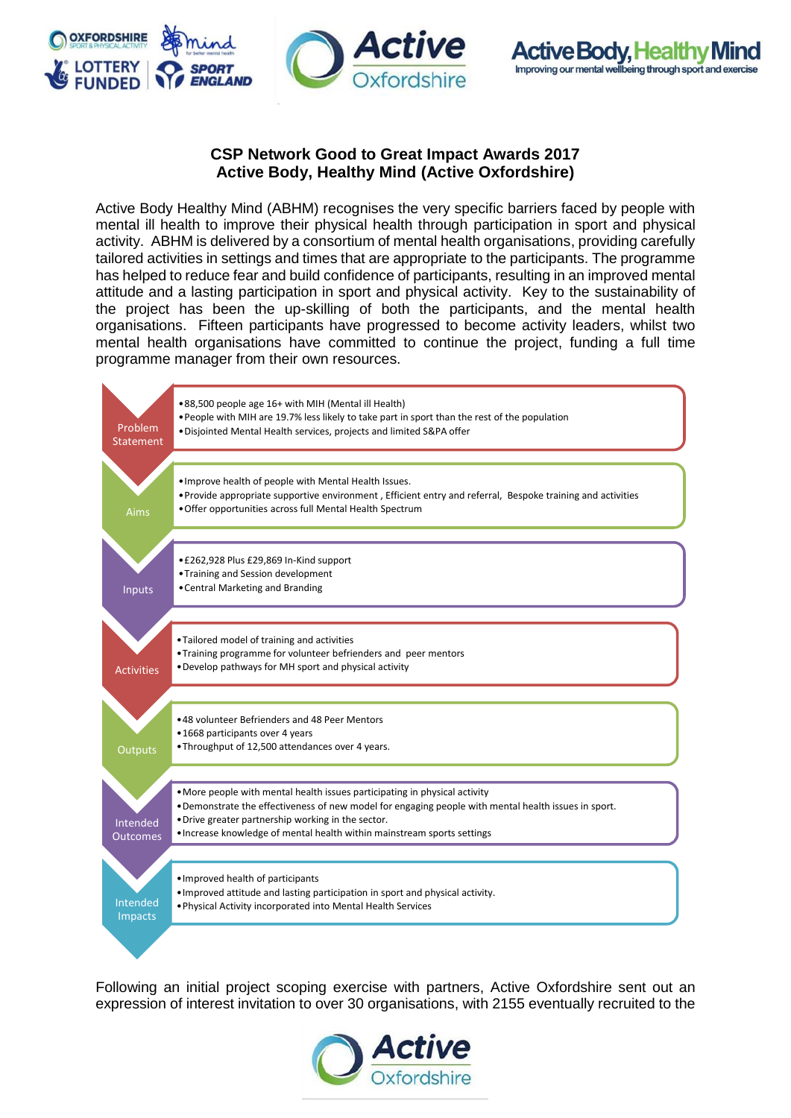



## **CSP Network Good to Great Impact Awards 2017 Active Body, Healthy Mind (Active Oxfordshire)**

Active Body Healthy Mind (ABHM) recognises the very specific barriers faced by people with mental ill health to improve their physical health through participation in sport and physical activity. ABHM is delivered by a consortium of mental health organisations, providing carefully tailored activities in settings and times that are appropriate to the participants. The programme has helped to reduce fear and build confidence of participants, resulting in an improved mental attitude and a lasting participation in sport and physical activity. Key to the sustainability of the project has been the up-skilling of both the participants, and the mental health organisations. Fifteen participants have progressed to become activity leaders, whilst two mental health organisations have committed to continue the project, funding a full time programme manager from their own resources.



Following an initial project scoping exercise with partners, Active Oxfordshire sent out an expression of interest invitation to over 30 organisations, with 2155 eventually recruited to the